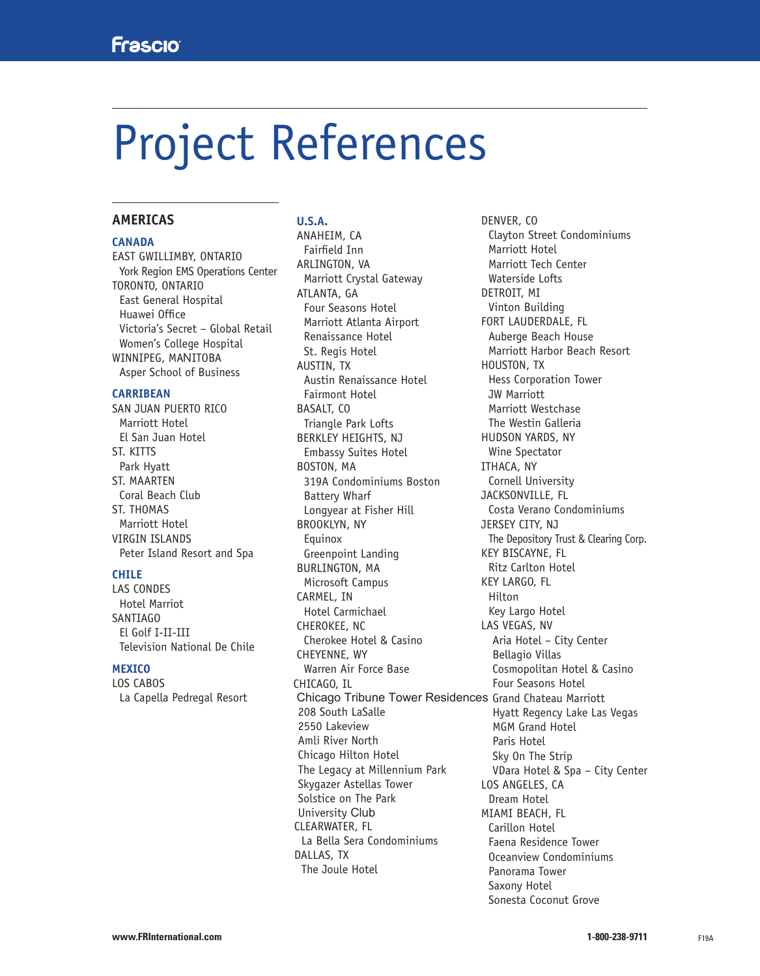# Project References

# **AMERICAS**

### **CANADA**

EAST GWILLIMBY, ONTARIO York Region EMS Operations Center TORONTO, ONTARIO East General Hospital Huawei Office Victoria's Secret – Global Retail Women's College Hospital WINNIPEG, MANITOBA Asper School of Business

#### **CARRIBEAN**

SAN JUAN PUERTO RICO Marriott Hotel El San Juan Hotel ST. KITTS Park Hyatt ST. MAARTEN Coral Beach Club ST. THOMAS Marriott Hotel VIRGIN ISLANDS Peter Island Resort and Spa

#### **CHILE**

LAS CONDES Hotel Marriot SANTIAGO El Golf I-II-III Television National De Chile

### **MEXICO**

LOS CABOS La Capella Pedregal Resort

# **U.S.A.**

ANAHEIM, CA Fairfield Inn ARLINGTON, VA Marriott Crystal Gateway ATLANTA, GA Four Seasons Hotel Marriott Atlanta Airport Renaissance Hotel St. Regis Hotel AUSTIN, TX Austin Renaissance Hotel Fairmont Hotel BASALT, CO Triangle Park Lofts BERKLEY HEIGHTS, NJ Embassy Suites Hotel BOSTON, MA 319A Condominiums Boston Battery Wharf Longyear at Fisher Hill BROOKLYN, NY Equinox Greenpoint Landing BURLINGTON, MA Microsoft Campus CARMEL, IN Hotel Carmichael CHEROKEE, NC Cherokee Hotel & Casino CHEYENNE, WY Warren Air Force Base CHICAGO, IL CLEARWATER, FL La Bella Sera Condominiums DALLAS, TX The Joule Hotel Chicago Tribune Tower Residences Grand Chateau Marriott 208 South LaSalle 2550 Lakeview Amli River North Chicago Hilton Hotel The Legacy at Millennium Park Skygazer Astellas Tower Solstice on The Park University Club

DENVER, CO Clayton Street Condominiums Marriott Hotel Marriott Tech Center Waterside Lofts DETROIT, MI Vinton Building FORT LAUDERDALE, FL Auberge Beach House Marriott Harbor Beach Resort HOUSTON, TX Hess Corporation Tower JW Marriott Marriott Westchase The Westin Galleria HUDSON YARDS, NY Wine Spectator ITHACA, NY Cornell University JACKSONVILLE, FL Costa Verano Condominiums JERSEY CITY, NJ The Depository Trust & Clearing Corp. KEY BISCAYNE, FL Ritz Carlton Hotel KEY LARGO, FL Hilton Key Largo Hotel LAS VEGAS, NV Aria Hotel – City Center Bellagio Villas Cosmopolitan Hotel & Casino Four Seasons Hotel Hyatt Regency Lake Las Vegas MGM Grand Hotel Paris Hotel Sky On The Strip VDara Hotel & Spa – City Center LOS ANGELES, CA Dream Hotel MIAMI BEACH, FL Carillon Hotel Faena Residence Tower Oceanview Condominiums Panorama Tower Saxony Hotel Sonesta Coconut Grove